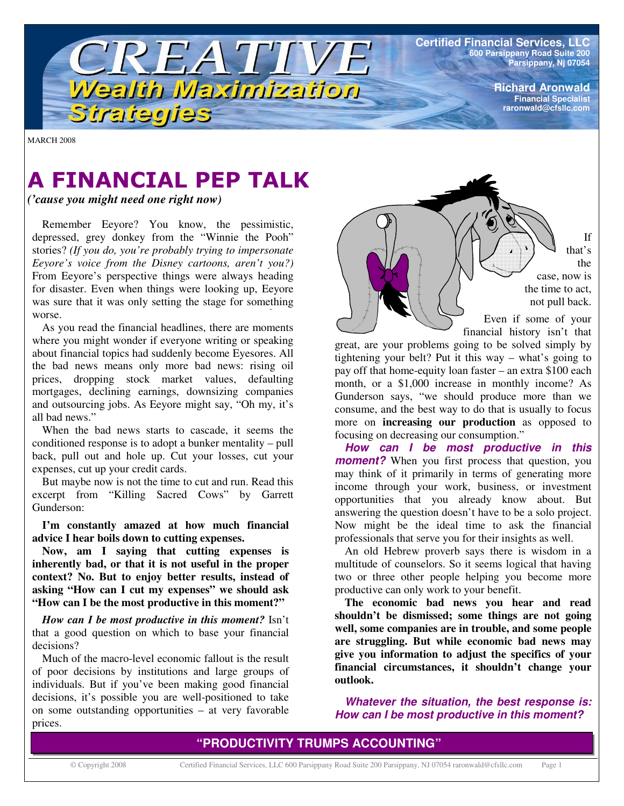**Certified Financial Services, LLC 600 Parsippany Road Suite 200 Parsippany, Nj 07054**

> **Richard Aronwald Financial Specialist raronwald@cfsllc.com**

MARCH 2008

# **A FINANCIAL PEP TALK**

TREATIVE

Wealth Maximization

*('cause you might need one right now)*

Strategies

Remember Eeyore? You know, the pessimistic, depressed, grey donkey from the "Winnie the Pooh" stories? *(If you do, you're probably trying to impersonate Eeyore's voice from the Disney cartoons, aren't you?)* From Eeyore's perspective things were always heading for disaster. Even when things were looking up, Eeyore was sure that it was only setting the stage for something worse.

As you read the financial headlines, there are moments where you might wonder if everyone writing or speaking about financial topics had suddenly become Eyesores. All the bad news means only more bad news: rising oil prices, dropping stock market values, defaulting mortgages, declining earnings, downsizing companies and outsourcing jobs. As Eeyore might say, "Oh my, it's all bad news."

When the bad news starts to cascade, it seems the conditioned response is to adopt a bunker mentality – pull back, pull out and hole up. Cut your losses, cut your expenses, cut up your credit cards.

But maybe now is not the time to cut and run. Read this excerpt from "Killing Sacred Cows" by Garrett Gunderson:

**I'm constantly amazed at how much financial advice I hear boils down to cutting expenses.**

**Now, am I saying that cutting expenses is inherently bad, or that it is not useful in the proper context? No. But to enjoy better results, instead of asking "How can I cut my expenses" we should ask "How can I be the most productive in this moment?"**

*How can I be most productive in this moment?* Isn't that a good question on which to base your financial decisions?

Much of the macro-level economic fallout is the result of poor decisions by institutions and large groups of individuals. But if you've been making good financial decisions, it's possible you are well-positioned to take on some outstanding opportunities – at very favorable prices.

If that's the case, now is the time to act, not pull back. Even if some of your

financial history isn't that great, are your problems going to be solved simply by tightening your belt? Put it this way – what's going to pay off that home-equity loan faster – an extra \$100 each month, or a \$1,000 increase in monthly income? As Gunderson says, "we should produce more than we consume, and the best way to do that is usually to focus more on **increasing our production** as opposed to focusing on decreasing our consumption."

*How can I be most productive in this moment?* When you first process that question, you may think of it primarily in terms of generating more income through your work, business, or investment opportunities that you already know about. But answering the question doesn't have to be a solo project. Now might be the ideal time to ask the financial professionals that serve you for their insights as well.

An old Hebrew proverb says there is wisdom in a multitude of counselors. So it seems logical that having two or three other people helping you become more productive can only work to your benefit.

**The economic bad news you hear and read shouldn't be dismissed; some things are not going well, some companies are in trouble, and some people are struggling. But while economic bad news may give you information to adjust the specifics of your financial circumstances, it shouldn't change your outlook.**

*Whatever the situation, the best response is: How can I be most productive in this moment?*

### **"PRODUCTIVITY TRUMPS ACCOUNTING"**

© Copyright 2008 Certified Financial Services, LLC 600 Parsippany Road Suite 200 Parsippany, NJ 07054 raronwald@cfsllc.com Page 1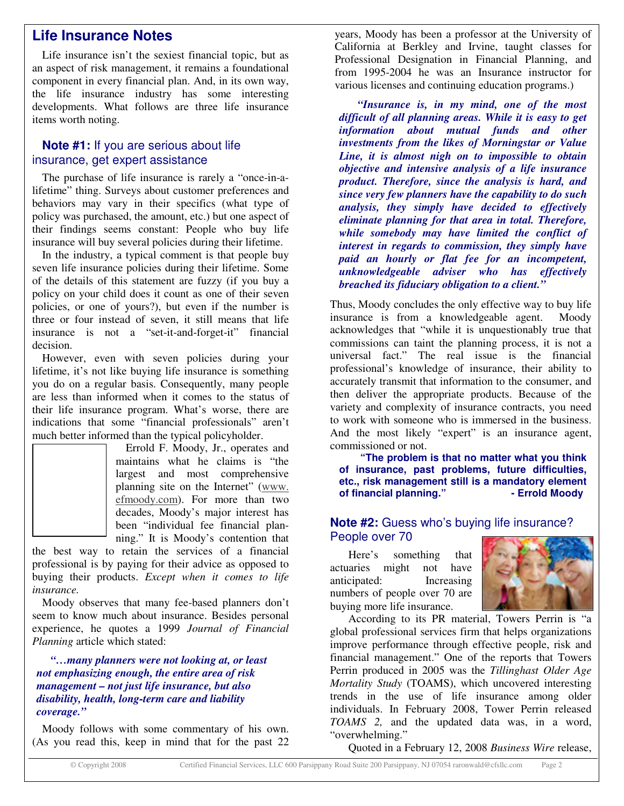## **Life Insurance Notes**

Life insurance isn't the sexiest financial topic, but as an aspect of risk management, it remains a foundational component in every financial plan. And, in its own way, the life insurance industry has some interesting developments. What follows are three life insurance items worth noting.

#### **Note #1:** If you are serious about life insurance, get expert assistance

The purchase of life insurance is rarely a "once-in-alifetime" thing. Surveys about customer preferences and behaviors may vary in their specifics (what type of policy was purchased, the amount, etc.) but one aspect of their findings seems constant: People who buy life insurance will buy several policies during their lifetime.

In the industry, a typical comment is that people buy seven life insurance policies during their lifetime. Some of the details of this statement are fuzzy (if you buy a policy on your child does it count as one of their seven policies, or one of yours?), but even if the number is three or four instead of seven, it still means that life insurance is not a "set-it-and-forget-it" financial decision.

However, even with seven policies during your lifetime, it's not like buying life insurance is something you do on a regular basis. Consequently, many people are less than informed when it comes to the status of their life insurance program. What's worse, there are indications that some "financial professionals" aren't much better informed than the typical policyholder.

Errold F. Moody, Jr., operates and maintains what he claims is "the largest and most comprehensive planning site on the Internet" (www. efmoody.com). For more than two decades, Moody's major interest has been "individual fee financial planning." It is Moody's contention that

the best way to retain the services of a financial professional is by paying for their advice as opposed to buying their products. *Except when it comes to life insurance.*

Moody observes that many fee-based planners don't seem to know much about insurance. Besides personal experience, he quotes a 1999 *Journal of Financial Planning* article which stated:

*"…many planners were not looking at, or least not emphasizing enough, the entire area of risk management – not just life insurance, but also disability, health, long-term care and liability coverage."*

Moody follows with some commentary of his own. (As you read this, keep in mind that for the past 22 years, Moody has been a professor at the University of California at Berkley and Irvine, taught classes for Professional Designation in Financial Planning, and from 1995-2004 he was an Insurance instructor for various licenses and continuing education programs.)

*"Insurance is, in my mind, one of the most difficult of all planning areas. While it is easy to get information about mutual funds and other investments from the likes of Morningstar or Value Line, it is almost nigh on to impossible to obtain objective and intensive analysis of a life insurance product. Therefore, since the analysis is hard, and since very few planners have the capability to do such analysis, they simply have decided to effectively eliminate planning for that area in total. Therefore, while somebody may have limited the conflict of interest in regards to commission, they simply have paid an hourly or flat fee for an incompetent, unknowledgeable adviser who has effectively breached its fiduciary obligation to a client."*

Thus, Moody concludes the only effective way to buy life insurance is from a knowledgeable agent. Moody acknowledges that "while it is unquestionably true that commissions can taint the planning process, it is not a universal fact." The real issue is the financial professional's knowledge of insurance, their ability to accurately transmit that information to the consumer, and then deliver the appropriate products. Because of the variety and complexity of insurance contracts, you need to work with someone who is immersed in the business. And the most likely "expert" is an insurance agent, commissioned or not.

**"The problem is that no matter what you think of insurance, past problems, future difficulties, etc., risk management still is a mandatory element of financial planning." - Errold Moody**

#### **Note #2:** Guess who's buying life insurance? People over 70

Here's something that actuaries might not have anticipated: Increasing numbers of people over 70 are buying more life insurance.



According to its PR material, Towers Perrin is "a global professional services firm that helps organizations improve performance through effective people, risk and financial management." One of the reports that Towers Perrin produced in 2005 was the *Tillinghast Older Age Mortality Study* (TOAMS), which uncovered interesting trends in the use of life insurance among older individuals. In February 2008, Tower Perrin released *TOAMS 2,* and the updated data was, in a word, "overwhelming."

Quoted in a February 12, 2008 *Business Wire* release,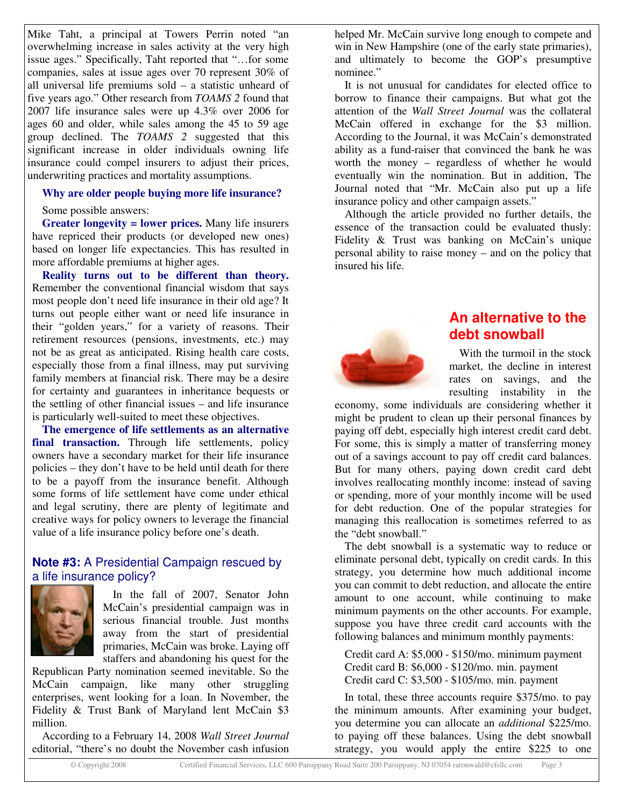Mike Taht, a principal at Towers Perrin noted "an overwhelming increase in sales activity at the very high issue ages." Specifically, Taht reported that "…for some companies, sales at issue ages over 70 represent 30% of all universal life premiums sold – a statistic unheard of five years ago." Other research from *TOAMS 2* found that 2007 life insurance sales were up 4.3% over 2006 for ages 60 and older, while sales among the 45 to 59 age group declined. The *TOAMS 2* suggested that this significant increase in older individuals owning life insurance could compel insurers to adjust their prices, underwriting practices and mortality assumptions.

#### **Why are older people buying more life insurance?**

Some possible answers:

**Greater longevity = lower prices.** Many life insurers have repriced their products (or developed new ones) based on longer life expectancies. This has resulted in more affordable premiums at higher ages.

**Reality turns out to be different than theory.** Remember the conventional financial wisdom that says most people don't need life insurance in their old age? It turns out people either want or need life insurance in their "golden years," for a variety of reasons. Their retirement resources (pensions, investments, etc.) may not be as great as anticipated. Rising health care costs, especially those from a final illness, may put surviving family members at financial risk. There may be a desire for certainty and guarantees in inheritance bequests or the settling of other financial issues – and life insurance is particularly well-suited to meet these objectives.

**The emergence of life settlements as an alternative** final **transaction.** Through life settlements, policy owners have a secondary market for their life insurance policies – they don't have to be held until death for there to be a payoff from the insurance benefit. Although some forms of life settlement have come under ethical and legal scrutiny, there are plenty of legitimate and creative ways for policy owners to leverage the financial value of a life insurance policy before one's death.

#### **Note #3:** A Presidential Campaign rescued by a life insurance policy?



In the fall of 2007, Senator John McCain's presidential campaign was in serious financial trouble. Just months away from the start of presidential primaries, McCain was broke. Laying off staffers and abandoning his quest for the

Republican Party nomination seemed inevitable. So the McCain campaign, like many other struggling enterprises, went looking for a loan. In November, the Fidelity & Trust Bank of Maryland lent McCain \$3 million.

According to a February 14, 2008 *Wall Street Journal* editorial, "there's no doubt the November cash infusion

helped Mr. McCain survive long enough to compete and win in New Hampshire (one of the early state primaries), and ultimately to become the GOP's presumptive nominee."

It is not unusual for candidates for elected office to borrow to finance their campaigns. But what got the attention of the *Wall Street Journal* was the collateral McCain offered in exchange for the \$3 million. According to the Journal, it was McCain's demonstrated ability as a fund-raiser that convinced the bank he was worth the money – regardless of whether he would eventually win the nomination. But in addition, The Journal noted that "Mr. McCain also put up a life insurance policy and other campaign assets."

Although the article provided no further details, the essence of the transaction could be evaluated thusly: Fidelity & Trust was banking on McCain's unique personal ability to raise money – and on the policy that insured his life.



# **An alternative to the debt snowball**

With the turmoil in the stock market, the decline in interest rates on savings, and the resulting instability in the

economy, some individuals are considering whether it might be prudent to clean up their personal finances by paying off debt, especially high interest credit card debt. For some, this is simply a matter of transferring money out of a savings account to pay off credit card balances. But for many others, paying down credit card debt involves reallocating monthly income: instead of saving or spending, more of your monthly income will be used for debt reduction. One of the popular strategies for managing this reallocation is sometimes referred to as the "debt snowball."

The debt snowball is a systematic way to reduce or eliminate personal debt, typically on credit cards. In this strategy, you determine how much additional income you can commit to debt reduction, and allocate the entire amount to one account, while continuing to make minimum payments on the other accounts. For example, suppose you have three credit card accounts with the following balances and minimum monthly payments:

Credit card A: \$5,000 - \$150/mo. minimum payment Credit card B: \$6,000 - \$120/mo. min. payment Credit card C: \$3,500 - \$105/mo. min. payment

In total, these three accounts require \$375/mo. to pay the minimum amounts. After examining your budget, you determine you can allocate an *additional* \$225/mo. to paying off these balances. Using the debt snowball strategy, you would apply the entire \$225 to one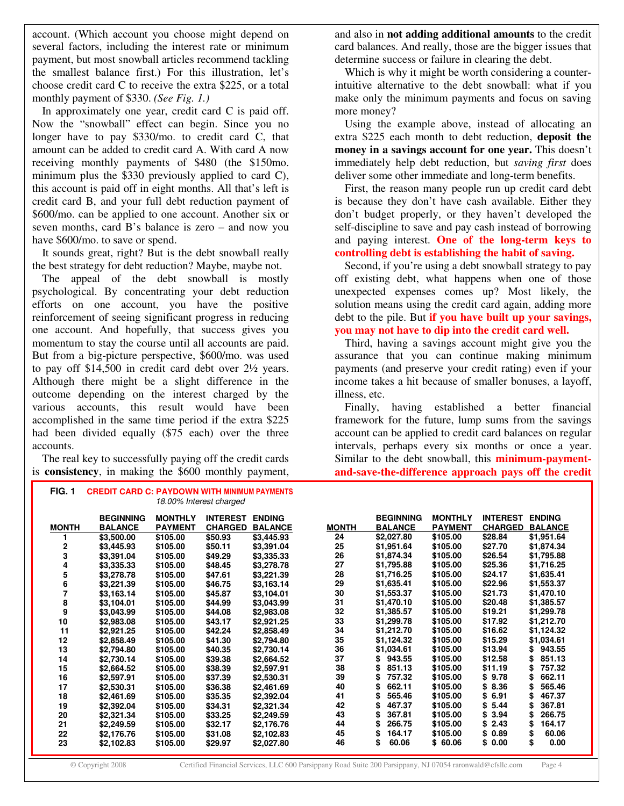account. (Which account you choose might depend on several factors, including the interest rate or minimum payment, but most snowball articles recommend tackling the smallest balance first.) For this illustration, let's choose credit card C to receive the extra \$225, or a total monthly payment of \$330. *(See Fig. 1.)*

In approximately one year, credit card C is paid off. Now the "snowball" effect can begin. Since you no longer have to pay \$330/mo. to credit card C, that amount can be added to credit card A. With card A now receiving monthly payments of \$480 (the \$150mo. minimum plus the \$330 previously applied to card C), this account is paid off in eight months. All that's left is credit card B, and your full debt reduction payment of \$600/mo. can be applied to one account. Another six or seven months, card B's balance is zero – and now you have \$600/mo. to save or spend.

It sounds great, right? But is the debt snowball really the best strategy for debt reduction? Maybe, maybe not.

The appeal of the debt snowball is mostly psychological. By concentrating your debt reduction efforts on one account, you have the positive reinforcement of seeing significant progress in reducing one account. And hopefully, that success gives you momentum to stay the course until all accounts are paid. But from a big-picture perspective, \$600/mo. was used to pay off \$14,500 in credit card debt over 2½ years. Although there might be a slight difference in the outcome depending on the interest charged by the various accounts, this result would have been accomplished in the same time period if the extra \$225 had been divided equally (\$75 each) over the three accounts.

The real key to successfully paying off the credit cards is **consistency**, in making the \$600 monthly payment, and also in **not adding additional amounts** to the credit card balances. And really, those are the bigger issues that determine success or failure in clearing the debt.

Which is why it might be worth considering a counterintuitive alternative to the debt snowball: what if you make only the minimum payments and focus on saving more money?

Using the example above, instead of allocating an extra \$225 each month to debt reduction, **deposit the money in a savings account for one year.** This doesn't immediately help debt reduction, but *saving first* does deliver some other immediate and long-term benefits.

First, the reason many people run up credit card debt is because they don't have cash available. Either they don't budget properly, or they haven't developed the self-discipline to save and pay cash instead of borrowing and paying interest. **One of the long-term keys to controlling debt is establishing the habit of saving.**

Second, if you're using a debt snowball strategy to pay off existing debt, what happens when one of those unexpected expenses comes up? Most likely, the solution means using the credit card again, adding more debt to the pile. But **if you have built up your savings, you may not have to dip into the credit card well.**

Third, having a savings account might give you the assurance that you can continue making minimum payments (and preserve your credit rating) even if your income takes a hit because of smaller bonuses, a layoff, illness, etc.

Finally, having established a better financial framework for the future, lump sums from the savings account can be applied to credit card balances on regular intervals, perhaps every six months or once a year. Similar to the debt snowball, this **minimum-paymentand-save-the-difference approach pays off the credit**

|              | <b>BEGINNING</b> | <b>MONTHLY</b> | <b>INTEREST</b> | <b>ENDING</b>  |              | <b>BEGINNING</b> | <b>MONTHLY</b> | <b>INTEREST ENDING</b> |                |
|--------------|------------------|----------------|-----------------|----------------|--------------|------------------|----------------|------------------------|----------------|
| <b>MONTH</b> | <b>BALANCE</b>   | <b>PAYMENT</b> | <b>CHARGED</b>  | <b>BALANCE</b> | <b>MONTH</b> | <b>BALANCE</b>   | <b>PAYMENT</b> | <b>CHARGED</b>         | <b>BALANCE</b> |
|              | \$3,500.00       | \$105.00       | \$50.93         | \$3,445.93     | 24           | \$2,027.80       | \$105.00       | \$28.84                | \$1,951.64     |
| 2            | \$3,445.93       | \$105.00       | \$50.11         | \$3,391.04     | 25           | \$1,951.64       | \$105.00       | \$27.70                | \$1,874.34     |
| 3            | \$3,391.04       | \$105.00       | \$49.29         | \$3,335.33     | 26           | \$1,874.34       | \$105.00       | \$26.54                | \$1,795.88     |
| 4            | \$3,335.33       | \$105.00       | \$48.45         | \$3,278.78     | 27           | \$1,795.88       | \$105.00       | \$25.36                | \$1,716.25     |
| 5            | \$3,278.78       | \$105.00       | \$47.61         | \$3,221.39     | 28           | \$1,716.25       | \$105.00       | \$24.17                | \$1,635.41     |
| 6            | \$3,221.39       | \$105.00       | \$46.75         | \$3,163.14     | 29           | \$1,635.41       | \$105.00       | \$22.96                | \$1,553.37     |
| 7            | \$3,163.14       | \$105.00       | \$45.87         | \$3,104.01     | 30           | \$1,553.37       | \$105.00       | \$21.73                | \$1,470.10     |
| 8            | \$3,104.01       | \$105.00       | \$44.99         | \$3,043.99     | 31           | \$1,470.10       | \$105.00       | \$20.48                | \$1,385.57     |
| 9            | \$3,043.99       | \$105.00       | \$44.08         | \$2,983.08     | 32           | \$1,385.57       | \$105.00       | \$19.21                | \$1,299.78     |
| 10           | \$2,983.08       | \$105.00       | \$43.17         | \$2,921.25     | 33           | \$1,299.78       | \$105.00       | \$17.92                | \$1,212.70     |
| 11           | \$2,921.25       | \$105.00       | \$42.24         | \$2,858.49     | 34           | \$1,212.70       | \$105.00       | \$16.62                | \$1,124.32     |
| 12           | \$2,858.49       | \$105.00       | \$41.30         | \$2,794.80     | 35           | \$1,124.32       | \$105.00       | \$15.29                | \$1,034.61     |
| 13           | \$2,794.80       | \$105.00       | \$40.35         | \$2,730.14     | 36           | \$1,034.61       | \$105.00       | \$13.94                | \$943.55       |
| 14           | \$2,730.14       | \$105.00       | \$39.38         | \$2,664.52     | 37           | 943.55<br>\$     | \$105.00       | \$12.58                | 851.13<br>\$   |
| 15           | \$2,664.52       | \$105.00       | \$38.39         | \$2,597.91     | 38           | 851.13<br>\$     | \$105.00       | \$11.19                | \$<br>757.32   |
| 16           | \$2,597.91       | \$105.00       | \$37.39         | \$2,530.31     | 39           | 757.32           | \$105.00       | \$9.78                 | 662.11<br>\$   |
| 17           | \$2,530.31       | \$105.00       | \$36.38         | \$2,461.69     | 40           | 662.11<br>\$     | \$105.00       | \$8.36                 | 565.46<br>\$   |
| 18           | \$2,461.69       | \$105.00       | \$35.35         | \$2,392.04     | 41           | 565.46           | \$105.00       | 6.91<br>\$             | 467.37         |
| 19           | \$2,392.04       | \$105.00       | \$34.31         | \$2,321.34     | 42           | 467.37           | \$105.00       | 5.44<br>\$             | 367.81         |
| 20           | \$2,321.34       | \$105.00       | \$33.25         | \$2,249.59     | 43           | 367.81<br>\$     | \$105.00       | 3.94<br>\$             | 266.75<br>\$   |
| 21           | \$2,249.59       | \$105.00       | \$32.17         | \$2,176.76     | 44           | 266.75<br>\$     | \$105.00       | 2.43<br>\$             | 164.17<br>\$   |
| 22           | \$2,176.76       | \$105.00       | \$31.08         | \$2,102.83     | 45           | 164.17<br>\$     | \$105.00       | \$0.89                 | \$<br>60.06    |
| 23           | \$2,102.83       | \$105.00       | \$29.97         | \$2,027.80     | 46           | \$<br>60.06      | \$60.06        | \$0.00                 | \$<br>0.00     |

**FIG. 1 CREDIT CARD C: PAYDOWN WITH MINIMUM PAYMENTS** *18.00% Interest charged*

© Copyright 2008 Certified Financial Services, LLC 600 Parsippany Road Suite 200 Parsippany, NJ 07054 raronwald@cfsllc.com Page 4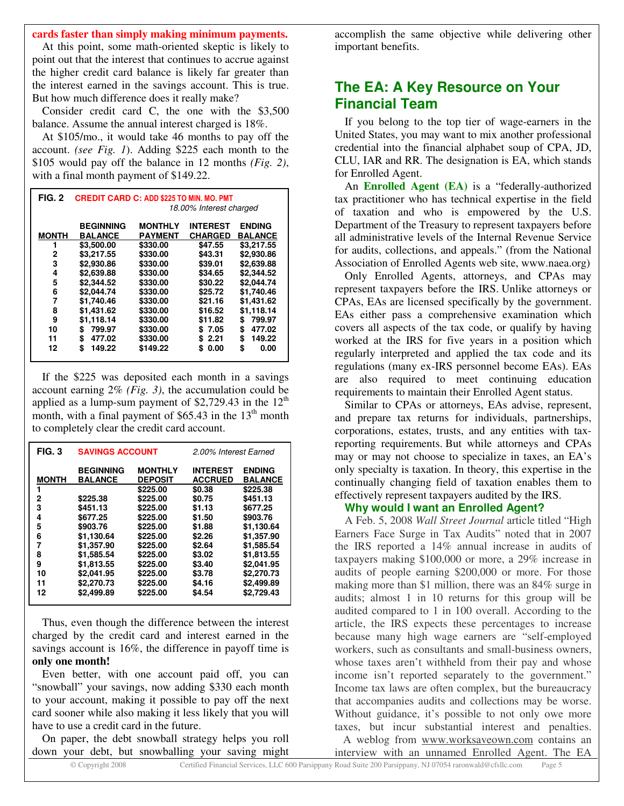**cards faster than simply making minimum payments.**

At this point, some math-oriented skeptic is likely to point out that the interest that continues to accrue against the higher credit card balance is likely far greater than the interest earned in the savings account. This is true. But how much difference does it really make?

Consider credit card C, the one with the \$3,500 balance. Assume the annual interest charged is 18%.

At \$105/mo., it would take 46 months to pay off the account. *(see Fig. 1*). Adding \$225 each month to the \$105 would pay off the balance in 12 months *(Fig. 2)*, with a final month payment of \$149.22.

| FIG. 2       | <b>CREDIT CARD C: ADD \$225 TO MIN. MO. PMT</b><br>18.00% Interest charged |                                  |                                   |                                 |  |  |  |
|--------------|----------------------------------------------------------------------------|----------------------------------|-----------------------------------|---------------------------------|--|--|--|
| <b>MONTH</b> | <b>BEGINNING</b><br><b>BALANCE</b>                                         | <b>MONTHLY</b><br><b>PAYMENT</b> | <b>INTEREST</b><br><b>CHARGED</b> | <b>ENDING</b><br><b>BALANCE</b> |  |  |  |
| 1            | \$3,500.00                                                                 | \$330.00                         | \$47.55                           | \$3.217.55                      |  |  |  |
| 2            | \$3,217.55                                                                 | \$330.00                         | \$43.31                           | \$2,930.86                      |  |  |  |
| 3            | \$2,930.86                                                                 | \$330.00                         | \$39.01                           | \$2,639.88                      |  |  |  |
| 4            | \$2,639.88                                                                 | \$330.00                         | \$34.65                           | \$2,344.52                      |  |  |  |
| 5            | \$2.344.52                                                                 | \$330.00                         | \$30.22                           | \$2.044.74                      |  |  |  |
| 6            | \$2.044.74                                                                 | \$330.00                         | \$25.72                           | \$1.740.46                      |  |  |  |
| 7            | \$1.740.46                                                                 | \$330.00                         | \$21.16                           | \$1,431.62                      |  |  |  |
| 8            | \$1,431.62                                                                 | \$330.00                         | \$16.52                           | \$1,118.14                      |  |  |  |
| 9            | \$1,118.14                                                                 | \$330.00                         | \$11.82                           | 799.97<br>\$                    |  |  |  |
| 10           | 799.97<br>\$                                                               | \$330.00                         | \$7.05                            | \$<br>477.02                    |  |  |  |
| 11           | \$<br>477.02                                                               | \$330.00                         | \$2.21                            | \$<br>149.22                    |  |  |  |
| 12           | \$<br>149.22                                                               | \$149.22                         | 0.00<br>S                         | \$<br>0.00                      |  |  |  |

If the \$225 was deposited each month in a savings account earning 2% *(Fig. 3)*, the accumulation could be applied as a lump-sum payment of \$2,729.43 in the  $12<sup>th</sup>$ month, with a final payment of  $$65.43$  in the  $13<sup>th</sup>$  month to completely clear the credit card account.

| FIG. 3       | <b>SAVINGS ACCOUNT</b>             |                                  | 2.00% Interest Earned             |                                 |  |
|--------------|------------------------------------|----------------------------------|-----------------------------------|---------------------------------|--|
| <b>MONTH</b> | <b>BEGINNING</b><br><b>BALANCE</b> | <b>MONTHLY</b><br><b>DEPOSIT</b> | <b>INTEREST</b><br><b>ACCRUED</b> | <b>ENDING</b><br><b>BALANCE</b> |  |
|              |                                    | \$225.00                         | \$0.38                            | \$225.38                        |  |
| 2            | \$225.38                           | \$225.00                         | \$0.75                            | \$451.13                        |  |
| 3            | \$451.13                           | \$225.00                         | \$1.13                            | \$677.25                        |  |
| 4            | \$677.25                           | \$225.00                         | \$1.50                            | \$903.76                        |  |
| 5            | \$903.76                           | \$225.00                         | \$1.88                            | \$1,130.64                      |  |
| 6            | \$1,130.64                         | \$225.00                         | \$2.26                            | \$1,357.90                      |  |
| 7            | \$1,357.90                         | \$225.00                         | \$2.64                            | \$1,585.54                      |  |
| 8            | \$1,585.54                         | \$225.00                         | \$3.02                            | \$1,813.55                      |  |
| 9            | \$1,813.55                         | \$225.00                         | \$3.40                            | \$2,041.95                      |  |
| 10           | \$2,041.95                         | \$225.00                         | \$3.78                            | \$2,270.73                      |  |
| 11           | \$2,270.73                         | \$225.00                         | \$4.16                            | \$2,499.89                      |  |
| 12           | \$2,499.89                         | \$225.00                         | \$4.54                            | \$2.729.43                      |  |

Thus, even though the difference between the interest charged by the credit card and interest earned in the savings account is 16%, the difference in payoff time is **only one month!**

Even better, with one account paid off, you can "snowball" your savings, now adding \$330 each month to your account, making it possible to pay off the next card sooner while also making it less likely that you will have to use a credit card in the future.

On paper, the debt snowball strategy helps you roll down your debt, but snowballing your saving might accomplish the same objective while delivering other important benefits.

# **The EA: A Key Resource on Your Financial Team**

If you belong to the top tier of wage-earners in the United States, you may want to mix another professional credential into the financial alphabet soup of CPA, JD, CLU, IAR and RR. The designation is EA, which stands for Enrolled Agent.

An **Enrolled Agent (EA)** is a "federally-authorized tax practitioner who has technical expertise in the field of taxation and who is empowered by the U.S. Department of the Treasury to represent taxpayers before all administrative levels of the Internal Revenue Service for audits, collections, and appeals." (from the National Association of Enrolled Agents web site, www.naea.org)

Only Enrolled Agents, attorneys, and CPAs may represent taxpayers before the IRS. Unlike attorneys or CPAs, EAs are licensed specifically by the government. EAs either pass a comprehensive examination which covers all aspects of the tax code, or qualify by having worked at the IRS for five years in a position which regularly interpreted and applied the tax code and its regulations (many ex-IRS personnel become EAs). EAs are also required to meet continuing education requirements to maintain their Enrolled Agent status.

Similar to CPAs or attorneys, EAs advise, represent, and prepare tax returns for individuals, partnerships, corporations, estates, trusts, and any entities with taxreporting requirements. But while attorneys and CPAs may or may not choose to specialize in taxes, an EA's only specialty is taxation. In theory, this expertise in the continually changing field of taxation enables them to effectively represent taxpayers audited by the IRS.

#### **Why would I want an Enrolled Agent?**

A Feb. 5, 2008 *Wall Street Journal* article titled "High Earners Face Surge in Tax Audits" noted that in 2007 the IRS reported a 14% annual increase in audits of taxpayers making \$100,000 or more, a 29% increase in audits of people earning \$200,000 or more. For those making more than \$1 million, there was an 84% surge in audits; almost 1 in 10 returns for this group will be audited compared to 1 in 100 overall. According to the article, the IRS expects these percentages to increase because many high wage earners are "self-employed workers, such as consultants and small-business owners, whose taxes aren't withheld from their pay and whose income isn't reported separately to the government." Income tax laws are often complex, but the bureaucracy that accompanies audits and collections may be worse. Without guidance, it's possible to not only owe more taxes, but incur substantial interest and penalties. A weblog from www.worksaveown.com contains an

interview with an unnamed Enrolled Agent. The EA